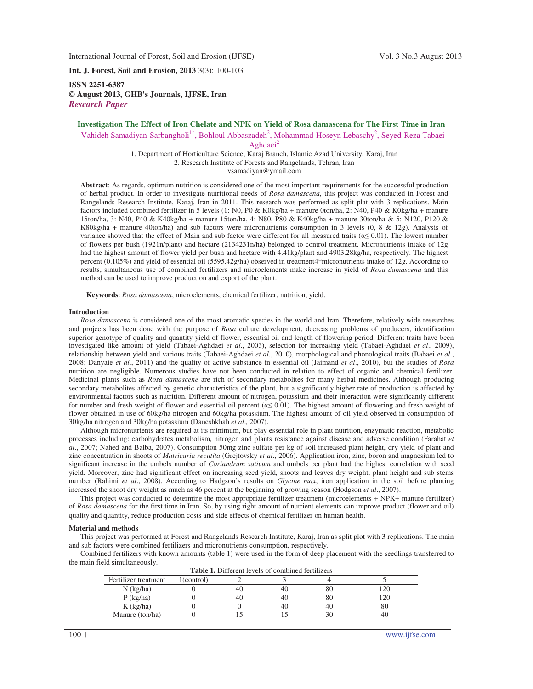**Int. J. Forest, Soil and Erosion, 2013** 3(3): 100-103

**ISSN 2251-6387 © August 2013, GHB's Journals, IJFSE, Iran** *Research Paper* 

# **Investigation The Effect of Iron Chelate and NPK on Yield of Rosa damascena for The First Time in Iran**

Vahideh Samadiyan-Sarbangholi<sup>1\*</sup>, Bohloul Abbaszadeh<sup>2</sup>, Mohammad-Hoseyn Lebaschy<sup>2</sup>, Seyed-Reza Tabaei-

Aghdaei $<sup>2</sup>$ </sup>

1. Department of Horticulture Science, Karaj Branch, Islamic Azad University, Karaj, Iran 2. Research Institute of Forests and Rangelands, Tehran, Iran vsamadiyan@ymail.com

**Abstract**: As regards, optimum nutrition is considered one of the most important requirements for the successful production of herbal product. In order to investigate nutritional needs of *Rosa damascena*, this project was conducted in Forest and Rangelands Research Institute, Karaj, Iran in 2011. This research was performed as split plat with 3 replications. Main factors included combined fertilizer in 5 levels (1: N0, P0 & K0kg/ha + manure 0ton/ha, 2: N40, P40 & K0kg/ha + manure 15ton/ha, 3: N40, P40 & K40kg/ha + manure 15ton/ha, 4: N80, P80 & K40kg/ha + manure 30ton/ha & 5: N120, P120 & K80kg/ha + manure 40ton/ha) and sub factors were micronutrients consumption in 3 levels  $(0, 8 \& 12g)$ . Analysis of variance showed that the effect of Main and sub factor were different for all measured traits ( $\alpha \le 0.01$ ). The lowest number of flowers per bush (1921n/plant) and hectare (2134231n/ha) belonged to control treatment. Micronutrients intake of 12g had the highest amount of flower yield per bush and hectare with 4.41kg/plant and 4903.28kg/ha, respectively. The highest percent (0.105%) and yield of essential oil (5595.42g/ha) observed in treatment4\*micronutrients intake of 12g. According to results, simultaneous use of combined fertilizers and microelements make increase in yield of *Rosa damascena* and this method can be used to improve production and export of the plant.

**Keywords**: *Rosa damascena*, microelements, chemical fertilizer, nutrition, yield.

### **Introduction**

*Rosa damascena* is considered one of the most aromatic species in the world and Iran. Therefore, relatively wide researches and projects has been done with the purpose of *Rosa* culture development, decreasing problems of producers, identification superior genotype of quality and quantity yield of flower, essential oil and length of flowering period. Different traits have been investigated like amount of yield (Tabaei-Aghdaei *et al*., 2003), selection for increasing yield (Tabaei-Aghdaei *et al*., 2009), relationship between yield and various traits (Tabaei-Aghdaei *et al*., 2010), morphological and phonological traits (Babaei *et al*., 2008; Danyaie *et al*., 2011) and the quality of active substance in essential oil (Jaimand *et al*., 2010), but the studies of *Rosa* nutrition are negligible. Numerous studies have not been conducted in relation to effect of organic and chemical fertilizer. Medicinal plants such as *Rosa damascene* are rich of secondary metabolites for many herbal medicines. Although producing secondary metabolites affected by genetic characteristics of the plant, but a significantly higher rate of production is affected by environmental factors such as nutrition. Different amount of nitrogen, potassium and their interaction were significantly different for number and fresh weight of flower and essential oil percent  $(\alpha \le 0.01)$ . The highest amount of flowering and fresh weight of flower obtained in use of 60kg/ha nitrogen and 60kg/ha potassium. The highest amount of oil yield observed in consumption of 30kg/ha nitrogen and 30kg/ha potassium (Daneshkhah *et al*., 2007).

Although micronutrients are required at its minimum, but play essential role in plant nutrition, enzymatic reaction, metabolic processes including: carbohydrates metabolism, nitrogen and plants resistance against disease and adverse condition (Farahat *et al*., 2007; Nahed and Balba, 2007). Consumption 50mg zinc sulfate per kg of soil increased plant height, dry yield of plant and zinc concentration in shoots of *Matricaria recutita* (Grejtovsky *et al*., 2006). Application iron, zinc, boron and magnesium led to significant increase in the umbels number of *Coriandrum sativum* and umbels per plant had the highest correlation with seed yield. Moreover, zinc had significant effect on increasing seed yield, shoots and leaves dry weight, plant height and sub stems number (Rahimi *et al*., 2008). According to Hadgson's results on *Glycine max*, iron application in the soil before planting increased the shoot dry weight as much as 46 percent at the beginning of growing season (Hodgson *et al*., 2007).

This project was conducted to determine the most appropriate fertilizer treatment (microelements + NPK+ manure fertilizer) of *Rosa damascena* for the first time in Iran. So, by using right amount of nutrient elements can improve product (flower and oil) quality and quantity, reduce production costs and side effects of chemical fertilizer on human health.

### **Material and methods**

This project was performed at Forest and Rangelands Research Institute, Karaj, Iran as split plot with 3 replications. The main and sub factors were combined fertilizers and micronutrients consumption, respectively.

Combined fertilizers with known amounts (table 1) were used in the form of deep placement with the seedlings transferred to the main field simultaneously.

| <b>Table 1.</b> Different levels of combined fertilizers |            |    |    |    |     |  |  |
|----------------------------------------------------------|------------|----|----|----|-----|--|--|
| Fertilizer treatment                                     | 1(control) |    |    |    |     |  |  |
| $N$ (kg/ha)                                              |            | 40 | 40 | 80 | 120 |  |  |
| $P$ (kg/ha)                                              |            | 40 | 40 | 80 | 120 |  |  |
| $K$ (kg/ha)                                              |            |    | 40 | 40 | 80  |  |  |
| Manure (ton/ha)                                          |            |    |    |    | 40  |  |  |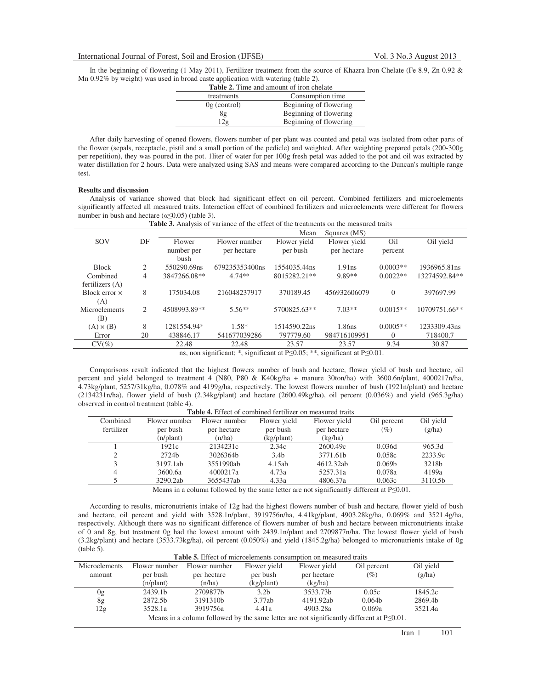In the beginning of flowering (1 May 2011), Fertilizer treatment from the source of Khazra Iron Chelate (Fe 8.9, Zn 0.92 & Mn 0.92% by weight) was used in broad caste application with watering (table 2).

| <b>Table 2.</b> Time and amount of iron chelate |                        |  |  |  |
|-------------------------------------------------|------------------------|--|--|--|
| treatments                                      | Consumption time       |  |  |  |
| $0g$ (control)                                  | Beginning of flowering |  |  |  |
| 8g                                              | Beginning of flowering |  |  |  |
| 2 <sub>g</sub>                                  | Beginning of flowering |  |  |  |

After daily harvesting of opened flowers, flowers number of per plant was counted and petal was isolated from other parts of the flower (sepals, receptacle, pistil and a small portion of the pedicle) and weighted. After weighting prepared petals (200-300g per repetition), they was poured in the pot. 1liter of water for per 100g fresh petal was added to the pot and oil was extracted by water distillation for 2 hours. Data were analyzed using SAS and means were compared according to the Duncan's multiple range test.

## **Results and discussion**

Analysis of variance showed that block had significant effect on oil percent. Combined fertilizers and microelements significantly affected all measured traits. Interaction effect of combined fertilizers and microelements were different for flowers number in bush and hectare  $(\alpha \le 0.05)$  (table 3).

| <b>Table 3.</b> Analysis of variance of the effect of the treatments on the measured traits |              |                |              |              |             |               |
|---------------------------------------------------------------------------------------------|--------------|----------------|--------------|--------------|-------------|---------------|
|                                                                                             |              |                | Mean         | Squares (MS) |             |               |
| DF                                                                                          | Flower       | Flower number  | Flower yield | Flower yield | Oil         | Oil yield     |
|                                                                                             | bush         |                |              |              |             |               |
| $\overline{c}$                                                                              | 550290.69ns  | 679235353400ns | 1554035.44ns | 1.91ns       | $0.0003**$  | 1936965.81ns  |
| 4                                                                                           | 3847266.08** | $4.74**$       | 8015282.21** | 9.89**       | $0.0022**$  | 13274592.84** |
|                                                                                             |              |                |              |              |             |               |
| 8                                                                                           | 175034.08    | 216048237917   | 370189.45    | 456932606079 | $\theta$    | 397697.99     |
|                                                                                             |              |                |              |              |             |               |
| 2                                                                                           | 4508993.89** | $5.56**$       | 5700825.63** | $7.03**$     | $0.0015**$  | 10709751.66** |
|                                                                                             |              |                |              |              |             |               |
| 8                                                                                           | 1281554.94*  | $1.58*$        | 1514590.22ns | 1.86ns       | $0.0005**$  | 1233309.43ns  |
| 20                                                                                          | 438846.17    | 541677039286   | 797779.60    | 984716109951 | $\left($    | 718400.7      |
|                                                                                             | 22.48        | 22.48          | 23.57        | 23.57        | 9.34        | 30.87         |
|                                                                                             |              | number per     | per hectare  | per bush     | per hectare | percent       |

**Table 3.** Analysis of variance of the effect of the treatments on the measured traits

ns, non significant; \*, significant at  $P \le 0.05$ ; \*\*, significant at  $P \le 0.01$ .

Comparisons result indicated that the highest flowers number of bush and hectare, flower yield of bush and hectare, oil percent and yield belonged to treatment 4 (N80, P80 & K40kg/ha + manure 30ton/ha) with 3600.6n/plant, 4000217n/ha, 4.73kg/plant, 5257/31kg/ha, 0.078% and 4199g/ha, respectively. The lowest flowers number of bush (1921n/plant) and hectare  $(2134231n/ha)$ , flower yield of bush  $(2.34kg/ha)$  and hectare  $(2600.49kg/ha)$ , oil percent  $(0.036%)$  and yield  $(965.3g/ha)$ observed in control treatment (table 4).

| Combined   | Flower number | Flower number | Flower yield     | Flower yield | Oil percent        | Oil yield |
|------------|---------------|---------------|------------------|--------------|--------------------|-----------|
| fertilizer | per bush      | per hectare   | per bush         | per hectare  | (%)                | (g/ha)    |
|            | (n/plant)     | (n/ha)        | (kg/plant)       | (kg/ha)      |                    |           |
|            | 1921c         | 2134231c      | 2.34c            | 2600.49c     | 0.036d             | 965.3d    |
|            | 2724h         | 3026364b      | 3.4 <sub>b</sub> | 3771.61b     | 0.058c             | 2233.9c   |
|            | 3197.1ab      | 3551990ab     | 4.15ab           | 4612.32ab    | 0.069 <sub>b</sub> | 3218b     |
| 4          | 3600.6a       | 4000217a      | 4.73a            | 5257.31a     | 0.078a             | 4199a     |
|            | 3290.2ab      | 3655437ab     | 4.33a            | 4806.37a     | 0.063c             | 3110.5b   |

**Table 4.** Effect of combined fertilizer on measured traits

Means in a column followed by the same letter are not significantly different at  $P \le 0.01$ .

According to results, micronutrients intake of 12g had the highest flowers number of bush and hectare, flower yield of bush and hectare, oil percent and yield with 3528.1n/plant, 3919756n/ha, 4.41kg/plant, 4903.28kg/ha, 0.069% and 3521.4g/ha, respectively. Although there was no significant difference of flowers number of bush and hectare between micronutrients intake of 0 and 8g, but treatment 0g had the lowest amount with 2439.1n/plant and 2709877n/ha. The lowest flower yield of bush (3.2kg/plant) and hectare (3533.73kg/ha), oil percent (0.050%) and yield (1845.2g/ha) belonged to micronutrients intake of 0g (table 5).

| <b>Table 5.</b> Effect of microelements consumption on measured traits                          |               |                      |                  |                      |                    |           |  |
|-------------------------------------------------------------------------------------------------|---------------|----------------------|------------------|----------------------|--------------------|-----------|--|
| <b>Microelements</b>                                                                            | Flower number | Flower number        | Flower yield     | Flower yield         | Oil percent        | Oil yield |  |
| amount                                                                                          | per bush      | per hectare          | per bush         | per hectare          | $(\%)$             | (g/ha)    |  |
|                                                                                                 | (n/plant)     | (n/ha)               | (kg/plant)       | (kg/ha)              |                    |           |  |
| 0g                                                                                              | 2439.1b       | 2709877b             | 3.2 <sub>b</sub> | 3533.73 <sub>h</sub> | 0.05c              | 1845.2c   |  |
| 8g                                                                                              | 2872.5b       | 3191310 <sub>b</sub> | 3.77ab           | 4191.92ab            | 0.064 <sub>b</sub> | 2869.4b   |  |
| $2\sigma$                                                                                       | 3528.1a       | 3919756a             | 4.41a            | 4903.28a             | 0.069a             | 3521.4a   |  |
| Means in a column followed by the same letter are not significantly different at $P\leq 0.01$ . |               |                      |                  |                      |                    |           |  |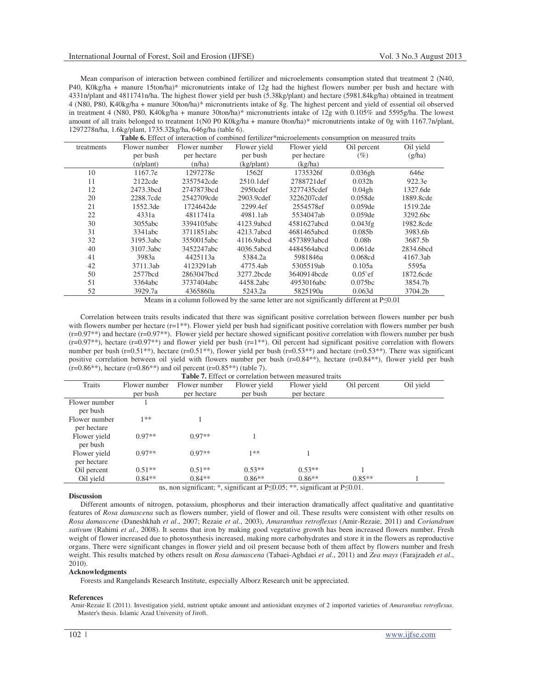Mean comparison of interaction between combined fertilizer and microelements consumption stated that treatment 2 (N40, P40, K0kg/ha + manure 15ton/ha)\* micronutrients intake of 12g had the highest flowers number per bush and hectare with 4331n/plant and 4811741n/ha. The highest flower yield per bush (5.38kg/plant) and hectare (5981.84kg/ha) obtained in treatment 4 (N80, P80, K40kg/ha + manure 30ton/ha)\* micronutrients intake of 8g. The highest percent and yield of essential oil observed in treatment 4 (N80, P80, K40kg/ha + manure 30ton/ha)\* micronutrients intake of 12g with 0.105% and 5595g/ha. The lowest amount of all traits belonged to treatment 1(N0 P0 K0kg/ha + manure 0ton/ha)\* micronutrients intake of 0g with 1167.7n/plant, 1297278n/ha, 1.6kg/plant, 1735.32kg/ha, 646g/ha (table 6).

| Table 6. Effect of interaction of combined fertilizer*microelements consumption on measured traits |               |               |              |              |                    |           |  |
|----------------------------------------------------------------------------------------------------|---------------|---------------|--------------|--------------|--------------------|-----------|--|
| treatments                                                                                         | Flower number | Flower number | Flower yield | Flower yield | Oil percent        | Oil yield |  |
|                                                                                                    | per bush      | per hectare   | per bush     | per hectare  | (%)                | (g/ha)    |  |
|                                                                                                    | (n/plant)     | (n/ha)        | (kg/plant)   | (kg/ha)      |                    |           |  |
| 10                                                                                                 | 1167.7e       | 1297278e      | 1562f        | 1735326f     | 0.036gh            | 646e      |  |
| 11                                                                                                 | 2122cde       | 2357542cde    | $2510.1$ def | 2788721def   | 0.032h             | 922.3e    |  |
| 12                                                                                                 | 2473.3bcd     | 2747873bcd    | 2950cdef     | 3277435cdef  | 0.04gh             | 1327.6de  |  |
| 20                                                                                                 | 2288.7cde     | 2542709cde    | 2903.9cdef   | 3226207cdef  | $0.058$ de         | 1889.8cde |  |
| 21                                                                                                 | 1552.3de      | 1724642de     | 2299.4ef     | 2554578ef    | $0.059$ de         | 1519.2de  |  |
| 22                                                                                                 | 4331a         | 4811741a      | 4981.1ab     | 5534047ab    | $0.059$ de         | 3292.6bc  |  |
| 30                                                                                                 | 3055abc       | 3394105abc    | 4123.9abcd   | 4581627abcd  | 0.043fg            | 1982.8cde |  |
| 31                                                                                                 | 3341abc       | 3711851abc    | 4213.7abcd   | 4681465abcd  | 0.085 <sub>b</sub> | 3983.6b   |  |
| 32                                                                                                 | 3195.3abc     | 3550015abc    | 4116.9abcd   | 4573893abcd  | 0.08 <sub>b</sub>  | 3687.5b   |  |
| 40                                                                                                 | 3107.3abc     | 3452247abc    | 4036.5abcd   | 4484564abcd  | $0.061$ de         | 2834.6bcd |  |
| 41                                                                                                 | 3983a         | 4425113a      | 5384.2a      | 5981846a     | 0.068cd            | 4167.3ab  |  |
| 42                                                                                                 | 3711.3ab      | 4123291ab     | 4775.4ab     | 5305519ab    | 0.105a             | 5595a     |  |
| 50                                                                                                 | 2577bcd       | 2863047bcd    | 3277.2bcde   | 3640914bcde  | $0.05$ ef          | 1872.6cde |  |
| 51                                                                                                 | 3364abc       | 3737404abc    | 4458.2abc    | 4953016abc   | 0.075bc            | 3854.7b   |  |
| 52                                                                                                 | 3929.7a       | 4365860a      | 5243.2a      | 5825190a     | 0.063d             | 3704.2b   |  |

Means in a column followed by the same letter are not significantly different at  $P \le 0.01$ 

Correlation between traits results indicated that there was significant positive correlation between flowers number per bush with flowers number per hectare (r=1\*\*). Flower yield per bush had significant positive correlation with flowers number per bush (r=0.97\*\*) and hectare (r=0.97\*\*). Flower yield per hectare showed significant positive correlation with flowers number per bush  $(r=0.97^{**})$ , hectare  $(r=0.97^{**})$  and flower yield per bush  $(r=1^{**})$ . Oil percent had significant positive correlation with flowers number per bush (r=0.51<sup>\*\*</sup>), hectare (r=0.51<sup>\*\*</sup>), flower yield per bush (r=0.53<sup>\*\*</sup>) and hectare (r=0.53<sup>\*\*</sup>). There was significant positive correlation between oil yield with flowers number per bush (r=0.84\*\*), hectare (r=0.84\*\*), flower yield per bush  $(r=0.86^{**})$ , hectare  $(r=0.86^{**})$  and oil percent  $(r=0.85^{**})$  (table 7).

| <b>Table 7.</b> Effect or correlation between measured traits                           |               |               |              |              |             |           |  |  |
|-----------------------------------------------------------------------------------------|---------------|---------------|--------------|--------------|-------------|-----------|--|--|
| Traits                                                                                  | Flower number | Flower number | Flower yield | Flower yield | Oil percent | Oil yield |  |  |
|                                                                                         | per bush      | per hectare   | per bush     | per hectare  |             |           |  |  |
| Flower number                                                                           |               |               |              |              |             |           |  |  |
| per bush                                                                                |               |               |              |              |             |           |  |  |
| Flower number                                                                           | 1∗*           |               |              |              |             |           |  |  |
| per hectare                                                                             |               |               |              |              |             |           |  |  |
| Flower yield                                                                            | $0.97**$      | $0.97**$      |              |              |             |           |  |  |
| per bush                                                                                |               |               |              |              |             |           |  |  |
| Flower yield                                                                            | $0.97**$      | $0.97**$      | 1**          |              |             |           |  |  |
| per hectare                                                                             |               |               |              |              |             |           |  |  |
| Oil percent                                                                             | $0.51**$      | $0.51**$      | $0.53**$     | $0.53**$     |             |           |  |  |
| Oil yield                                                                               | $0.84**$      | $0.84**$      | $0.86**$     | $0.86**$     | $0.85**$    |           |  |  |
| ns, non significant; *, significant at $P\leq 0.05$ ; **, significant at $P\leq 0.01$ . |               |               |              |              |             |           |  |  |

### **Discussion**

Different amounts of nitrogen, potassium, phosphorus and their interaction dramatically affect qualitative and quantitative features of *Rosa damascena* such as flowers number, yield of flower and oil. These results were consistent with other results on *Rosa damascene* (Daneshkhah *et al*., 2007; Rezaie *et al*., 2003), *Amaranthus retroflexus* (Amir-Rezaie, 2011) and *Coriandrum sativum* (Rahimi *et al*., 2008). It seems that iron by making good vegetative growth has been increased flowers number. Fresh weight of flower increased due to photosynthesis increased, making more carbohydrates and store it in the flowers as reproductive organs. There were significant changes in flower yield and oil present because both of them affect by flowers number and fresh weight. This results matched by others result on *Rosa damascena* (Tabaei-Aghdaei *et al*., 2011) and *Zea mays* (Farajzadeh *et al*., 2010).

#### **Acknowledgments**

Forests and Rangelands Research Institute, especially Alborz Research unit be appreciated.

#### **References**

Amir-Rezaie E (2011). Investigation yield, nutrient uptake amount and antioxidant enzymes of 2 imported varieties of *Amaranthus retroflexus*. Master's thesis. Islamic Azad University of Jiroft.